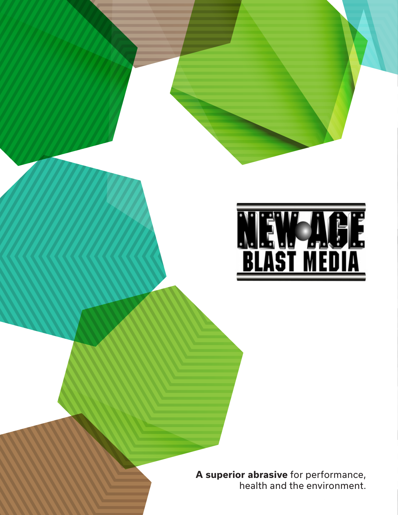

**A superior abrasive** for performance, health and the environment.